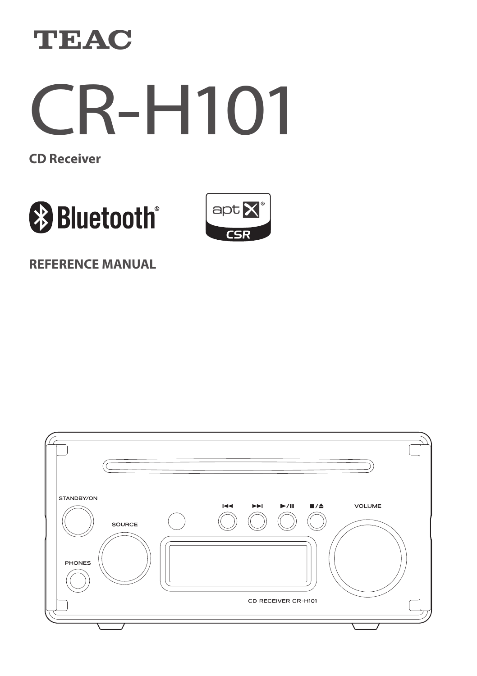



**CD Receiver**





**REFERENCE MANUAL**

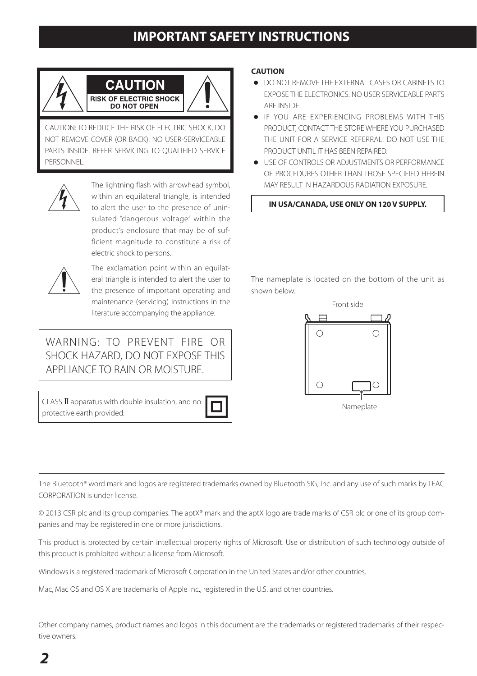## **IMPORTANT SAFETY INSTRUCTIONS**

<span id="page-1-0"></span>

CAUTION: TO REDUCE THE RISK OF ELECTRIC SHOCK, DO NOT REMOVE COVER (OR BACK). NO USER-SERVICEABLE PARTS INSIDE. REFER SERVICING TO QUALIFIED SERVICE PERSONNEL.



The lightning flash with arrowhead symbol,<br>
within an equilateral triangle, is intended<br>
to alert the user to the presence of uninwithin an equilateral triangle, is intended sulated "dangerous voltage" within the product's enclosure that may be of sufficient magnitude to constitute a risk of electric shock to persons.



The exclamation point within an equilat-<br>
eral triangle is intended to alert the user to<br>
the presence of important operating and eral triangle is intended to alert the user to maintenance (servicing) instructions in the literature accompanying the appliance.

WARNING: TO PREVENT FIRE OR SHOCK HAZARD, DO NOT EXPOSE THIS APPLIANCE TO RAIN OR MOISTURE.

 $CLASS  $I\!I$  approxiations with double insulation, and no$ protective earth provided.



### **CAUTION**

shown below.

- o DO NOT REMOVE THE EXTERNAL CASES OR CABINETS TO EXPOSE THE ELECTRONICS. NO USER SERVICEABLE PARTS ARE INSIDE.
- o IF YOU ARE EXPERIENCING PROBLEMS WITH THIS PRODUCT, CONTACT THE STORE WHERE YOU PURCHASED THE UNIT FOR A SERVICE REFERRAL. DO NOT USE THE PRODUCT UNTIL IT HAS BEEN REPAIRED.
- o USE OF CONTROLS OR ADJUSTMENTS OR PERFORMANCE OF PROCEDURES OTHER THAN THOSE SPECIFIED HEREIN MAY RESULT IN HAZARDOUS RADIATION EXPOSURE.

**IN USA/CANADA, USE ONLY ON 120 V SUPPLY.**

The nameplate is located on the bottom of the unit as

Front side Ċ  $\bigcirc$ Nameplate

The Bluetooth® word mark and logos are registered trademarks owned by Bluetooth SIG, Inc. and any use of such marks by TEAC CORPORATION is under license.

© 2013 CSR plc and its group companies. The aptX® mark and the aptX logo are trade marks of CSR plc or one of its group companies and may be registered in one or more jurisdictions.

This product is protected by certain intellectual property rights of Microsoft. Use or distribution of such technology outside of this product is prohibited without a license from Microsoft.

Windows is a registered trademark of Microsoft Corporation in the United States and/or other countries.

Mac, Mac OS and OS X are trademarks of Apple Inc., registered in the U.S. and other countries.

Other company names, product names and logos in this document are the trademarks or registered trademarks of their respective owners.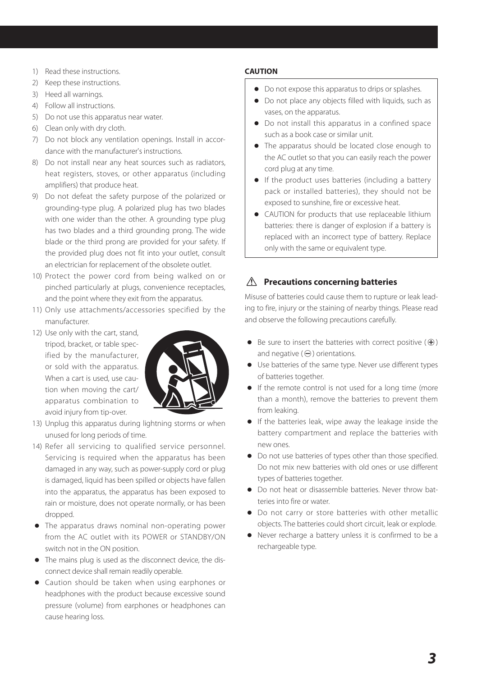- 1) Read these instructions.
- 2) Keep these instructions.
- 3) Heed all warnings.
- 4) Follow all instructions.
- 5) Do not use this apparatus near water.
- 6) Clean only with dry cloth.
- 7) Do not block any ventilation openings. Install in accordance with the manufacturer's instructions.
- 8) Do not install near any heat sources such as radiators, heat registers, stoves, or other apparatus (including amplifiers) that produce heat.
- 9) Do not defeat the safety purpose of the polarized or grounding-type plug. A polarized plug has two blades with one wider than the other. A grounding type plug has two blades and a third grounding prong. The wide blade or the third prong are provided for your safety. If the provided plug does not fit into your outlet, consult an electrician for replacement of the obsolete outlet.
- 10) Protect the power cord from being walked on or pinched particularly at plugs, convenience receptacles, and the point where they exit from the apparatus.
- 11) Only use attachments/accessories specified by the manufacturer.
- 12) Use only with the cart, stand, tripod, bracket, or table specified by the manufacturer, or sold with the apparatus. When a cart is used, use caution when moving the cart/ apparatus combination to avoid injury from tip-over.



- 13) Unplug this apparatus during lightning storms or when unused for long periods of time.
- 14) Refer all servicing to qualified service personnel. Servicing is required when the apparatus has been damaged in any way, such as power-supply cord or plug is damaged, liquid has been spilled or objects have fallen into the apparatus, the apparatus has been exposed to rain or moisture, does not operate normally, or has been dropped.
- o The apparatus draws nominal non-operating power from the AC outlet with its POWER or STANDBY/ON switch not in the ON position.
- o The mains plug is used as the disconnect device, the disconnect device shall remain readily operable.
- o Caution should be taken when using earphones or headphones with the product because excessive sound pressure (volume) from earphones or headphones can cause hearing loss.

### **CAUTION**

- $\bullet$  Do not expose this apparatus to drips or splashes.
- o Do not place any objects filled with liquids, such as vases, on the apparatus.
- o Do not install this apparatus in a confined space such as a book case or similar unit.
- o The apparatus should be located close enough to the AC outlet so that you can easily reach the power cord plug at any time.
- o If the product uses batteries (including a battery pack or installed batteries), they should not be exposed to sunshine, fire or excessive heat.
- o CAUTION for products that use replaceable lithium batteries: there is danger of explosion if a battery is replaced with an incorrect type of battery. Replace only with the same or equivalent type.

### $\triangle$  Precautions concerning batteries

Misuse of batteries could cause them to rupture or leak leading to fire, injury or the staining of nearby things. Please read and observe the following precautions carefully.

- $\bullet$  Be sure to insert the batteries with correct positive ( $\oplus$ ) and negative  $(\ominus)$  orientations.
- o Use batteries of the same type. Never use different types of batteries together.
- o If the remote control is not used for a long time (more than a month), remove the batteries to prevent them from leaking.
- o If the batteries leak, wipe away the leakage inside the battery compartment and replace the batteries with new ones.
- o Do not use batteries of types other than those specified. Do not mix new batteries with old ones or use different types of batteries together.
- o Do not heat or disassemble batteries. Never throw batteries into fire or water.
- o Do not carry or store batteries with other metallic objects. The batteries could short circuit, leak or explode.
- o Never recharge a battery unless it is confirmed to be a rechargeable type.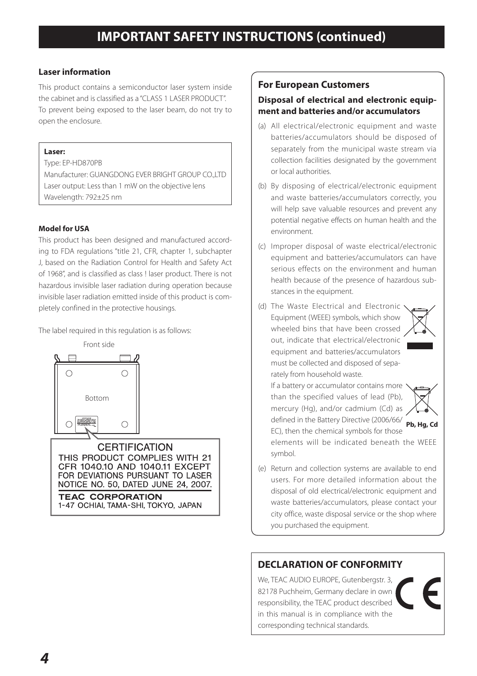### **Laser information**

This product contains a semiconductor laser system inside the cabinet and is classified as a "CLASS 1 LASER PRODUCT". To prevent being exposed to the laser beam, do not try to open the enclosure.

### **Laser:**

Type: EP-HD870PB Manufacturer: GUANGDONG EVER BRIGHT GROUP COLLTD Laser output: Less than 1 mW on the objective lens Wavelength: 792±25 nm

### **Model for USA**

This product has been designed and manufactured according to FDA regulations "title 21, CFR, chapter 1, subchapter J, based on the Radiation Control for Health and Safety Act of 1968", and is classified as class ! laser product. There is not hazardous invisible laser radiation during operation because invisible laser radiation emitted inside of this product is completely confined in the protective housings.

The label required in this regulation is as follows:



### **For European Customers**

### **Disposal of electrical and electronic equipment and batteries and/or accumulators**

- (a) All electrical/electronic equipment and waste batteries/accumulators should be disposed of separately from the municipal waste stream via collection facilities designated by the government or local authorities.
- (b) By disposing of electrical/electronic equipment and waste batteries/accumulators correctly, you will help save valuable resources and prevent any potential negative effects on human health and the environment.
- (c) Improper disposal of waste electrical/electronic equipment and batteries/accumulators can have serious effects on the environment and human health because of the presence of hazardous substances in the equipment.
- (d) The Waste Electrical and Electronic Equipment (WEEE) symbols, which show wheeled bins that have been crossed out, indicate that electrical/electronic equipment and batteries/accumulators must be collected and disposed of separately from household waste.



If a battery or accumulator contains more than the specified values of lead (Pb) mercury (Hg), and/or cadmium (Cd) as defined in the Battery Directive (2006/66/



- symbol. (e) Return and collection systems are available to end users. For more detailed information about the
	- disposal of old electrical/electronic equipment and waste batteries/accumulators, please contact your city office, waste disposal service or the shop where you purchased the equipment.

### **DECLARATION OF CONFORMITY**

We, TEAC AUDIO EUROPE, Gutenbergstr. 3 82178 Puchheim, Germany declare in own responsibility, the TEAC product described in this manual is in compliance with the corresponding technical standards.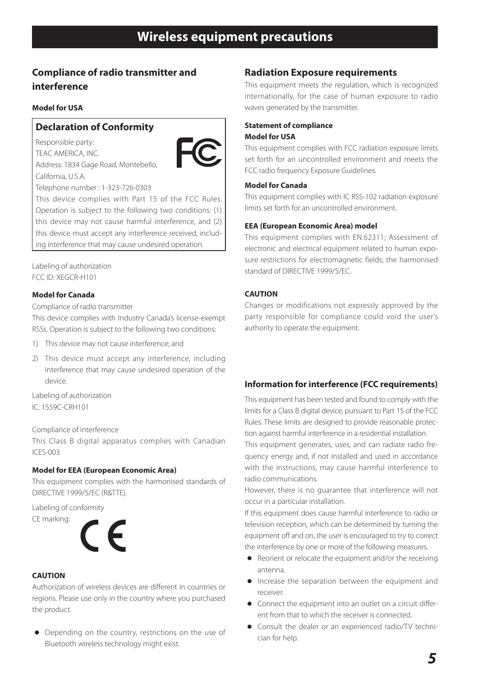### <span id="page-4-0"></span>**Compliance of radio transmitter and interference**

### **Model for USA**

### **Declaration of Conformity**

Responsible party: TEAC AMERICA, INC. Address: 1834 Gage Road, Montebello, California, U.S.A.



Telephone number : 1-323-726-0303

This device complies with Part 15 of the FCC Rules. Operation is subject to the following two conditions: (1) this device may not cause harmful interference, and (2) this device must accept any interference received, including interference that may cause undesired operation.

Labeling of authorization FCC ID: XEGCR-H101

#### **Model for Canada**

Compliance of radio transmitter

This device complies with Industry Canada's license-exempt RSSs. Operation is subject to the following two conditions:

- 1) This device may not cause interference; and
- 2) This device must accept any interference, including interference that may cause undesired operation of the device.

Labeling of authorization IC: 1559C-CRH101

Compliance of interference

This Class B digital apparatus complies with Canadian ICES-003.

#### **Model for EEA (European Economic Area)**

This equipment complies with the harmonised standards of DIRECTIVE 1999/5/EC (R&TTE).

Labeling of conformity

CE marking:



### **CAUTION**

Authorization of wireless devices are different in countries or regions. Please use only in the country where you purchased the product.

o Depending on the country, restrictions on the use of Bluetooth wireless technology might exist.

### **Radiation Exposure requirements**

This equipment meets the regulation, which is recognized internationally, for the case of human exposure to radio waves generated by the transmitter.

#### **Statement of compliance Model for USA**

This equipment complies with FCC radiation exposure limits set forth for an uncontrolled environment and meets the FCC radio frequency Exposure Guidelines.

#### **Model for Canada**

This equipment complies with IC RSS-102 radiation exposure limits set forth for an uncontrolled environment.

#### **EEA (European Economic Area) model**

This equipment complies with EN.62311; Assessment of electronic and electrical equipment related to human exposure restrictions for electromagnetic fields; the harmonised standard of DIRECTIVE 1999/5/EC.

#### **CAUTION**

Changes or modifications not expressly approved by the party responsible for compliance could void the user's authority to operate the equipment.

#### **Information for interference (FCC requirements)**

This equipment has been tested and found to comply with the limits for a Class B digital device, pursuant to Part 15 of the FCC Rules. These limits are designed to provide reasonable protection against harmful interference in a residential installation.

This equipment generates, uses, and can radiate radio frequency energy and, if not installed and used in accordance with the instructions, may cause harmful interference to radio communications.

However, there is no guarantee that interference will not occur in a particular installation.

If this equipment does cause harmful interference to radio or television reception, which can be determined by turning the equipment off and on, the user is encouraged to try to correct the interference by one or more of the following measures.

- o Reorient or relocate the equipment and/or the receiving antenna.
- o Increase the separation between the equipment and receiver.
- o Connect the equipment into an outlet on a circuit different from that to which the receiver is connected.
- o Consult the dealer or an experienced radio/TV technician for help.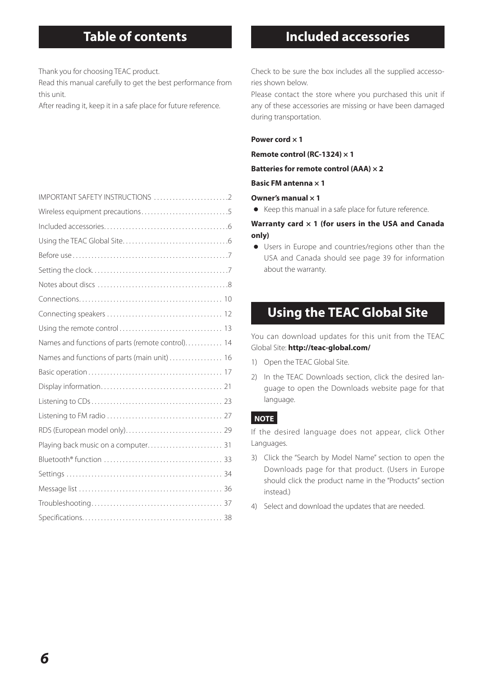Thank you for choosing TEAC product.

Read this manual carefully to get the best performance from this unit.

After reading it, keep it in a safe place for future reference.

## **Table of contents Included accessories**

Check to be sure the box includes all the supplied accessories shown below.

Please contact the store where you purchased this unit if any of these accessories are missing or have been damaged during transportation.

#### **Power cord × 1**

**Remote control (RC-1324) × 1**

**Batteries for remote control (AAA) × 2**

**Basic FM antenna × 1**

#### **Owner's manual × 1**

o Keep this manual in a safe place for future reference.

#### **Warranty card × 1 (for users in the USA and Canada only)**

o Users in Europe and countries/regions other than the USA and Canada should see page 39 for information about the warranty.

## **Using the TEAC Global Site**

You can download updates for this unit from the TEAC Global Site: **http://teac-global.com/**

- 1) Open the TEAC Global Site.
- 2) In the TEAC Downloads section, click the desired language to open the Downloads website page for that language.

### **NOTE**

If the desired language does not appear, click Other Languages.

- 3) Click the "Search by Model Name" section to open the Downloads page for that product. (Users in Europe should click the product name in the "Products" section instead.)
- 4) Select and download the updates that are needed.

| Names and functions of parts (remote control) 14 |  |
|--------------------------------------------------|--|
| Names and functions of parts (main unit)  16     |  |
|                                                  |  |
|                                                  |  |
|                                                  |  |
|                                                  |  |
|                                                  |  |
|                                                  |  |
|                                                  |  |
|                                                  |  |
|                                                  |  |
|                                                  |  |
|                                                  |  |
|                                                  |  |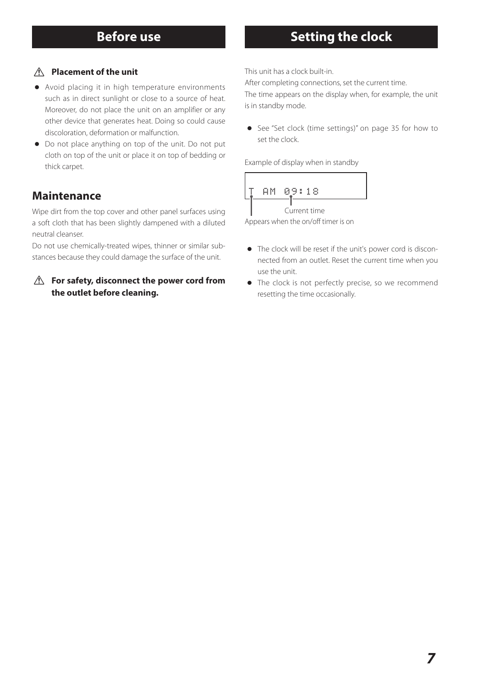### **Before use Setting the clock**

### <span id="page-6-0"></span> $\triangle$  **Placement of the unit**

- o Avoid placing it in high temperature environments such as in direct sunlight or close to a source of heat. Moreover, do not place the unit on an amplifier or any other device that generates heat. Doing so could cause discoloration, deformation or malfunction.
- o Do not place anything on top of the unit. Do not put cloth on top of the unit or place it on top of bedding or thick carpet.

### **Maintenance**

Wipe dirt from the top cover and other panel surfaces using a soft cloth that has been slightly dampened with a diluted neutral cleanser.

Do not use chemically-treated wipes, thinner or similar substances because they could damage the surface of the unit.

### $\triangle$  For safety, disconnect the power cord from **the outlet before cleaning.**

This unit has a clock built-in.

After completing connections, set the current time. The time appears on the display when, for example, the unit is in standby mode.

o See "Set clock (time settings)" on page 35 for how to set the clock.

Example of display when in standby



Appears when the on/off timer is on

- o The clock will be reset if the unit's power cord is disconnected from an outlet. Reset the current time when you use the unit.
- o The clock is not perfectly precise, so we recommend resetting the time occasionally.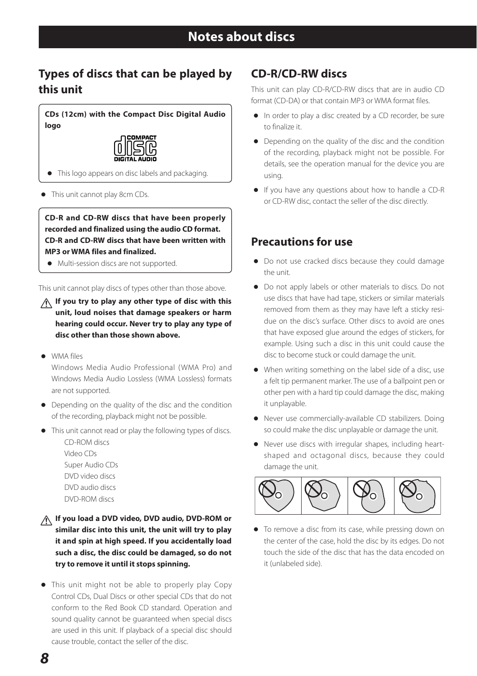### <span id="page-7-0"></span>**Types of discs that can be played by this unit**

**CDs (12cm) with the Compact Disc Digital Audio logo**



o This logo appears on disc labels and packaging.

o This unit cannot play 8cm CDs.

**CD-R and CD-RW discs that have been properly recorded and finalized using the audio CD format. CD-R and CD-RW discs that have been written with MP3 or WMA files and finalized.**

o Multi-session discs are not supported.

This unit cannot play discs of types other than those above.

V**If you try to play any other type of disc with this unit, loud noises that damage speakers or harm hearing could occur. Never try to play any type of disc other than those shown above.**

o WMA files

Windows Media Audio Professional (WMA Pro) and Windows Media Audio Lossless (WMA Lossless) formats are not supported.

- o Depending on the quality of the disc and the condition of the recording, playback might not be possible.
- o This unit cannot read or play the following types of discs.
	- CD-ROM discs Video CDs Super Audio CDs DVD video discs DVD audio discs DVD-ROM discs
- V**If you load a DVD video, DVD audio, DVD-ROM or similar disc into this unit, the unit will try to play it and spin at high speed. If you accidentally load such a disc, the disc could be damaged, so do not try to remove it until it stops spinning.**
- o This unit might not be able to properly play Copy Control CDs, Dual Discs or other special CDs that do not conform to the Red Book CD standard. Operation and sound quality cannot be guaranteed when special discs are used in this unit. If playback of a special disc should cause trouble, contact the seller of the disc.

### **CD-R/CD-RW discs**

This unit can play CD-R/CD-RW discs that are in audio CD format (CD-DA) or that contain MP3 or WMA format files.

- o In order to play a disc created by a CD recorder, be sure to finalize it.
- o Depending on the quality of the disc and the condition of the recording, playback might not be possible. For details, see the operation manual for the device you are using.
- o If you have any questions about how to handle a CD-R or CD-RW disc, contact the seller of the disc directly.

### **Precautions for use**

- o Do not use cracked discs because they could damage the unit.
- o Do not apply labels or other materials to discs. Do not use discs that have had tape, stickers or similar materials removed from them as they may have left a sticky residue on the disc's surface. Other discs to avoid are ones that have exposed glue around the edges of stickers, for example. Using such a disc in this unit could cause the disc to become stuck or could damage the unit.
- o When writing something on the label side of a disc, use a felt tip permanent marker. The use of a ballpoint pen or other pen with a hard tip could damage the disc, making it unplayable.
- o Never use commercially-available CD stabilizers. Doing so could make the disc unplayable or damage the unit.
- o Never use discs with irregular shapes, including heartshaped and octagonal discs, because they could damage the unit.



o To remove a disc from its case, while pressing down on the center of the case, hold the disc by its edges. Do not touch the side of the disc that has the data encoded on it (unlabeled side).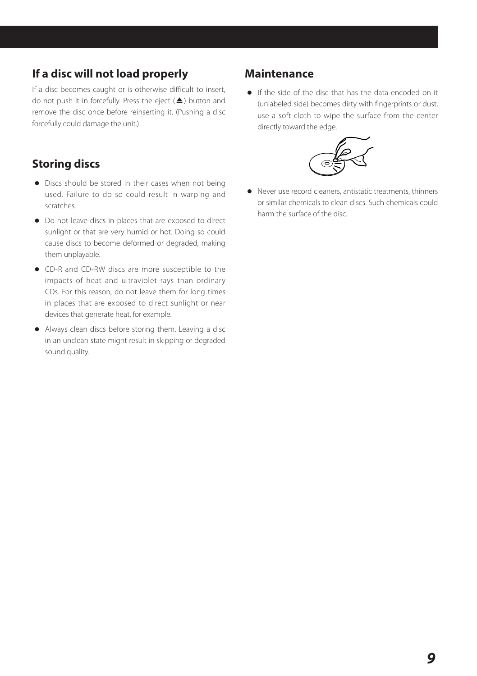### **If a disc will not load properly**

If a disc becomes caught or is otherwise difficult to insert, do not push it in forcefully. Press the eject  $(\triangle)$  button and remove the disc once before reinserting it. (Pushing a disc forcefully could damage the unit.)

### **Storing discs**

- o Discs should be stored in their cases when not being used. Failure to do so could result in warping and scratches.
- o Do not leave discs in places that are exposed to direct sunlight or that are very humid or hot. Doing so could cause discs to become deformed or degraded, making them unplayable.
- o CD-R and CD-RW discs are more susceptible to the impacts of heat and ultraviolet rays than ordinary CDs. For this reason, do not leave them for long times in places that are exposed to direct sunlight or near devices that generate heat, for example.
- o Always clean discs before storing them. Leaving a disc in an unclean state might result in skipping or degraded sound quality.

### **Maintenance**

o If the side of the disc that has the data encoded on it (unlabeled side) becomes dirty with fingerprints or dust, use a soft cloth to wipe the surface from the center directly toward the edge.



o Never use record cleaners, antistatic treatments, thinners or similar chemicals to clean discs. Such chemicals could harm the surface of the disc.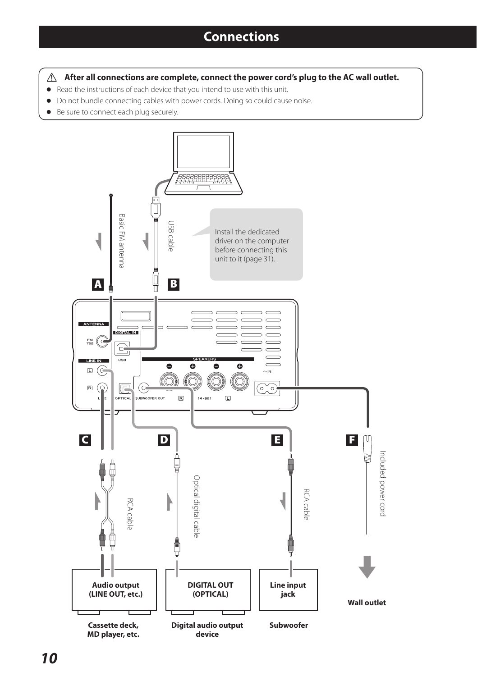<span id="page-9-0"></span>After all connections are complete, connect the power cord's plug to the AC wall outlet.

- o Read the instructions of each device that you intend to use with this unit.
- o Do not bundle connecting cables with power cords. Doing so could cause noise.
- o Be sure to connect each plug securely.

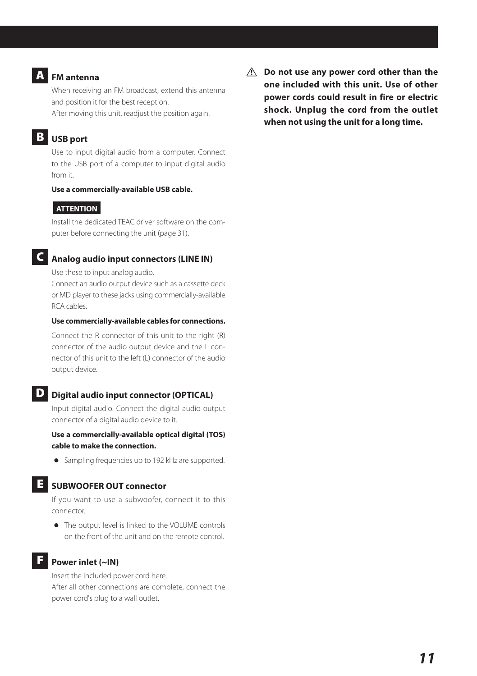### **FM** antenna

When receiving an FM broadcast, extend this antenna and position it for the best reception. After moving this unit, readjust the position again.

### **B** USB port

Use to input digital audio from a computer. Connect to the USB port of a computer to input digital audio from it.

#### **Use a commercially-available USB cable.**

### **ATTENTION**

Install the dedicated TEAC driver software on the computer before connecting the unit (page 31).

### C **Analog audio input connectors (LINE IN)**

Use these to input analog audio.

Connect an audio output device such as a cassette deck or MD player to these jacks using commercially-available RCA cables.

#### **Use commercially-available cables for connections.**

Connect the R connector of this unit to the right (R) connector of the audio output device and the L connector of this unit to the left (L) connector of the audio output device.

### D **Digital audio input connector (OPTICAL)**

Input digital audio. Connect the digital audio output connector of a digital audio device to it.

**Use a commercially-available optical digital (TOS) cable to make the connection.**

o Sampling frequencies up to 192 kHz are supported.

### E **SUBWOOFER OUT connector**

If you want to use a subwoofer, connect it to this connector.

o The output level is linked to the VOLUME controls on the front of the unit and on the remote control.

### F **Power inlet (~IN)**

Insert the included power cord here. After all other connections are complete, connect the power cord's plug to a wall outlet.

 $\triangle$  Do not use any power cord other than the **one included with this unit. Use of other power cords could result in fire or electric shock. Unplug the cord from the outlet when not using the unit for a long time.**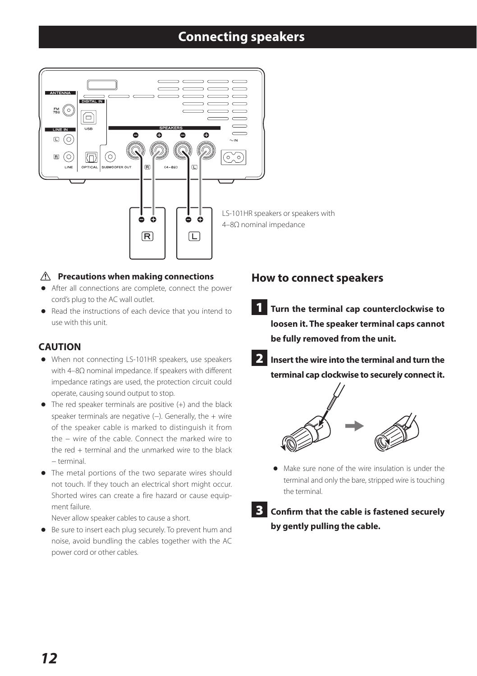### **Connecting speakers**

<span id="page-11-0"></span>

### $\hat{A}$  Precautions when making connections

- o After all connections are complete, connect the power cord's plug to the AC wall outlet.
- o Read the instructions of each device that you intend to use with this unit.

### **CAUTION**

- o When not connecting LS-101HR speakers, use speakers with 4–8Ω nominal impedance. If speakers with different impedance ratings are used, the protection circuit could operate, causing sound output to stop.
- $\bullet$  The red speaker terminals are positive  $(+)$  and the black speaker terminals are negative (−). Generally, the + wire of the speaker cable is marked to distinguish it from the − wire of the cable. Connect the marked wire to the red + terminal and the unmarked wire to the black − terminal.
- o The metal portions of the two separate wires should not touch. If they touch an electrical short might occur. Shorted wires can create a fire hazard or cause equipment failure.

Never allow speaker cables to cause a short.

o Be sure to insert each plug securely. To prevent hum and noise, avoid bundling the cables together with the AC power cord or other cables.

### **How to connect speakers**

- 1 **Turn the terminal cap counterclockwise to loosen it. The speaker terminal caps cannot be fully removed from the unit.**
- 2 **Insert the wire into the terminal and turn the terminal cap clockwise to securely connect it.**



- o Make sure none of the wire insulation is under the terminal and only the bare, stripped wire is touching the terminal.
- 3 **Confirm that the cable is fastened securely by gently pulling the cable.**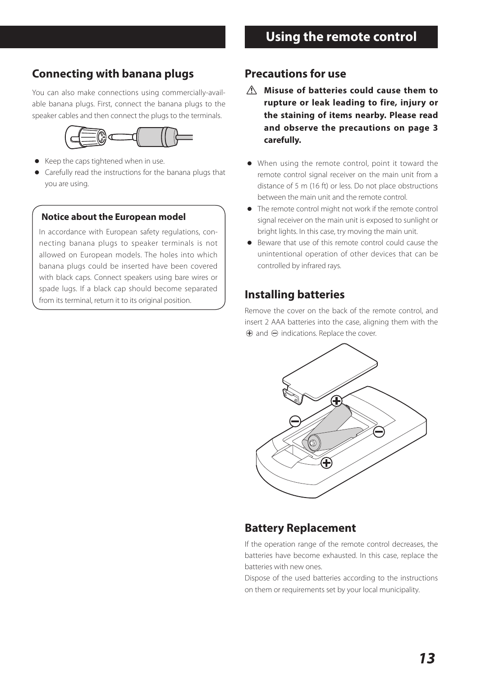### <span id="page-12-0"></span>**Connecting with banana plugs**

You can also make connections using commercially-available banana plugs. First, connect the banana plugs to the speaker cables and then connect the plugs to the terminals.



- o Keep the caps tightened when in use.
- o Carefully read the instructions for the banana plugs that you are using.

### **Notice about the European model**

In accordance with European safety regulations, connecting banana plugs to speaker terminals is not allowed on European models. The holes into which banana plugs could be inserted have been covered with black caps. Connect speakers using bare wires or spade lugs. If a black cap should become separated from its terminal, return it to its original position.

### **Precautions for use**

- $\triangle$  Misuse of batteries could cause them to **rupture or leak leading to fire, injury or the staining of items nearby. Please read and observe the precautions on page 3 carefully.**
- o When using the remote control, point it toward the remote control signal receiver on the main unit from a distance of 5 m (16 ft) or less. Do not place obstructions between the main unit and the remote control.
- o The remote control might not work if the remote control signal receiver on the main unit is exposed to sunlight or bright lights. In this case, try moving the main unit.
- o Beware that use of this remote control could cause the unintentional operation of other devices that can be controlled by infrared rays.

### **Installing batteries**

Remove the cover on the back of the remote control, and insert 2 AAA batteries into the case, aligning them with the  $\bigoplus$  and  $\bigominus$  indications. Replace the cover.



### **Battery Replacement**

If the operation range of the remote control decreases, the batteries have become exhausted. In this case, replace the batteries with new ones.

Dispose of the used batteries according to the instructions on them or requirements set by your local municipality.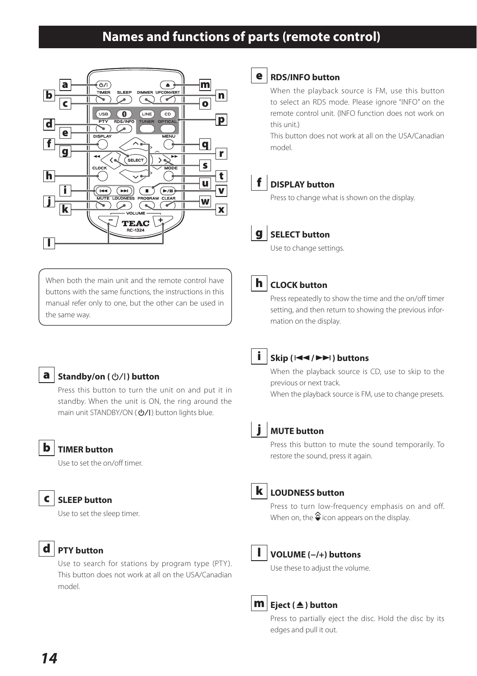### **Names and functions of parts (remote control)**

<span id="page-13-0"></span>



#### e **RDS/INFO button**

When the playback source is FM, use this button to select an RDS mode. Please ignore "INFO" on the remote control unit. (INFO function does not work on this unit.)

This button does not work at all on the USA/Canadian model.



### f **DISPLAY button**

Press to change what is shown on the display.



### g **SELECT button**

Use to change settings.

When both the main unit and the remote control have buttons with the same functions, the instructions in this manual refer only to one, but the other can be used in the same way.



### h **CLOCK button**

Press repeatedly to show the time and the on/off timer setting, and then return to showing the previous information on the display.



#### **a** | Standby/on ( $\bigcirc$ /|) button

Press this button to turn the unit on and put it in standby. When the unit is ON, the ring around the main unit STANDBY/ON ( $\bigcirc$ /I) button lights blue.



### b **TIMER button**

Use to set the on/off timer.

### c **SLEEP button**

Use to set the sleep timer.



Use to search for stations by program type (PTY). This button does not work at all on the USA/Canadian model.



#### i **Skip (**.**/**/**) buttons**

When the playback source is CD, use to skip to the previous or next track.

When the playback source is FM, use to change presets.



### **MUTE button**

Press this button to mute the sound temporarily. To restore the sound, press it again.



### k **LOUDNESS button**

Press to turn low-frequency emphasis on and off. When on, the  $\triangleq$  icon appears on the display.



#### l **VOLUME (−/+) buttons**

Use these to adjust the volume.



### **m Eiect** (▲) button

Press to partially eject the disc. Hold the disc by its edges and pull it out.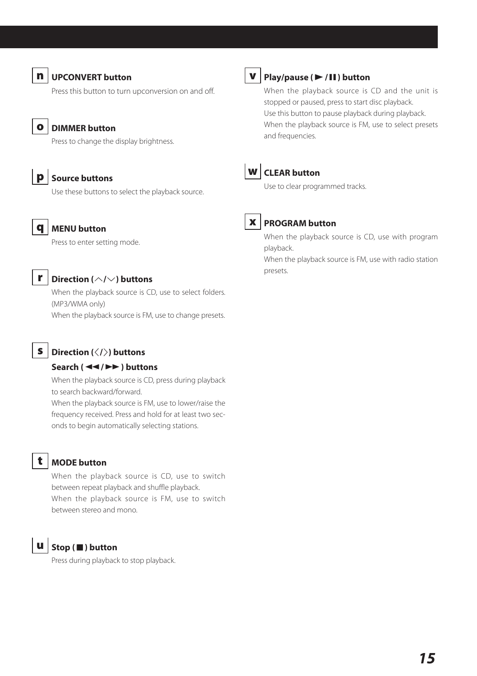

#### n **UPCONVERT button**

Press this button to turn upconversion on and off.



### o **DIMMER button**

Press to change the display brightness.

p **Source buttons** Use these buttons to select the playback source.



#### q **MENU button**

Press to enter setting mode.



### r **Direction (**k**/**j**) buttons**

When the playback source is CD, use to select folders. (MP3/WMA only) When the playback source is FM, use to change presets.

### **S** Direction ( $\langle/\rangle$ ) buttons

#### **Search (**m**/**,**) buttons**

When the playback source is CD, press during playback to search backward/forward.

When the playback source is FM, use to lower/raise the frequency received. Press and hold for at least two seconds to begin automatically selecting stations.

### t **MODE button**

When the playback source is CD, use to switch between repeat playback and shuffle playback. When the playback source is FM, use to switch between stereo and mono.

### u **Stop (**8**) button**

Press during playback to stop playback.

### v **Play/pause (**7**/**9**) button**

When the playback source is CD and the unit is stopped or paused, press to start disc playback. Use this button to pause playback during playback. When the playback source is FM, use to select presets and frequencies.



### w **CLEAR button**

Use to clear programmed tracks.



### x **PROGRAM button**

When the playback source is CD, use with program playback.

When the playback source is FM, use with radio station presets.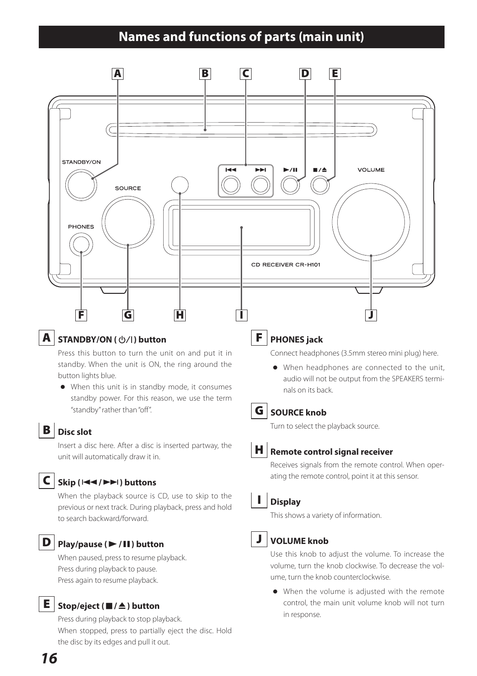### **Names and functions of parts (main unit)**

<span id="page-15-0"></span>

### **A** STANDBY/ON (<u>⊙</u>/**)** button

Press this button to turn the unit on and put it in standby. When the unit is ON, the ring around the button lights blue.

o When this unit is in standby mode, it consumes standby power. For this reason, we use the term "standby" rather than "off".

### **B** Disc slot

Insert a disc here. After a disc is inserted partway, the unit will automatically draw it in.

### $C \mid$  Skip ( $\mid \blacktriangleleft \blacktriangleleft / \blacktriangleright \blacktriangleright \mid$ ) buttons

When the playback source is CD, use to skip to the previous or next track. During playback, press and hold to search backward/forward.

### D **Play/pause (**7**/**9**) button**

When paused, press to resume playback. Press during playback to pause. Press again to resume playback.

### E **Stop/eject (**8**/**-**) button**

Press during playback to stop playback. When stopped, press to partially eject the disc. Hold the disc by its edges and pull it out.

### F **PHONES jack**

Connect headphones (3.5mm stereo mini plug) here.

o When headphones are connected to the unit, audio will not be output from the SPEAKERS terminals on its back.



### **G** SOURCE knob

Turn to select the playback source.



#### **H** Remote control signal receiver

Receives signals from the remote control. When operating the remote control, point it at this sensor.

### I **Display**

This shows a variety of information.



### J **VOLUME knob**

Use this knob to adjust the volume. To increase the volume, turn the knob clockwise. To decrease the volume, turn the knob counterclockwise.

o When the volume is adjusted with the remote control, the main unit volume knob will not turn in response.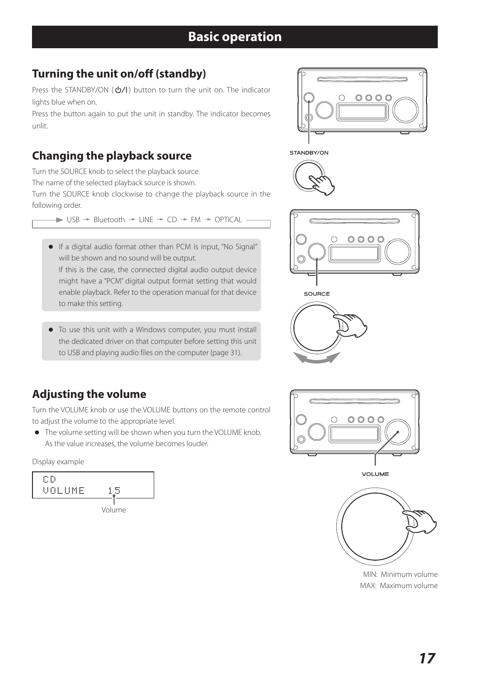## <span id="page-16-0"></span>**Turning the unit on/off (standby)**

Press the STANDBY/ON ( $\phi$ /L) button to turn the unit on. The indicator lights blue when on.

Press the button again to put the unit in standby. The indicator becomes unlit.

### **Changing the playback source**

Turn the SOURCE knob to select the playback source.

The name of the selected playback source is shown.

Turn the SOURCE knob clockwise to change the playback source in the following order.

 $\rightarrow$  USB  $\rightarrow$  Bluetooth  $\rightarrow$  LINE  $\rightarrow$  CD  $\rightarrow$  FM  $\rightarrow$  OPTICAL

o If a digital audio format other than PCM is input, "No Signal" will be shown and no sound will be output.

If this is the case, the connected digital audio output device might have a "PCM" digital output format setting that would enable playback. Refer to the operation manual for that device to make this setting.

o To use this unit with a Windows computer, you must install the dedicated driver on that computer before setting this unit to USB and playing audio files on the computer (page 31).

## **Adjusting the volume**

Turn the VOLUME knob or use the VOLUME buttons on the remote control to adjust the volume to the appropriate level.

o The volume setting will be shown when you turn the VOLUME knob. As the value increases, the volume becomes louder.

Display example















VOLUME



MIN: Minimum volume MAX: Maximum volume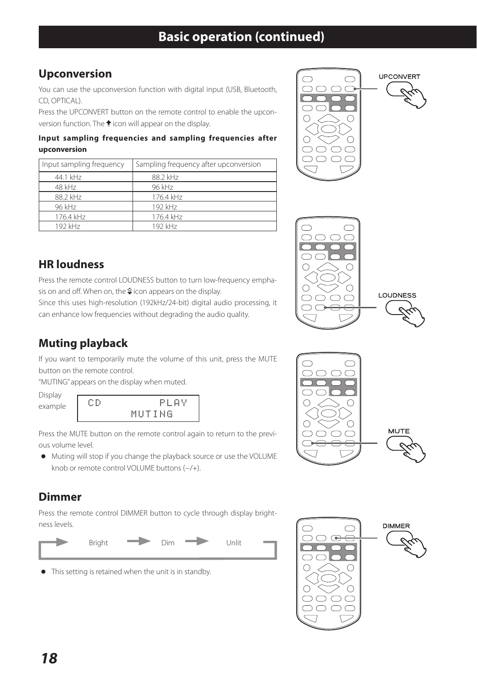### **Upconversion**

You can use the upconversion function with digital input (USB, Bluetooth, CD, OPTICAL).

Press the UPCONVERT button on the remote control to enable the upconversion function. The  $\hat{ }$  icon will appear on the display.

### **Input sampling frequencies and sampling frequencies after upconversion**

| Input sampling frequency | Sampling frequency after upconversion |
|--------------------------|---------------------------------------|
| 44.1 kHz                 | 88.2 kHz                              |
| 48 kHz                   | 96 kHz                                |
| 88.2 kHz                 | 176.4 kHz                             |
| 96 kHz                   | 192 kHz                               |
| 176.4 kHz                | 176.4 kHz                             |
| 192 kHz                  | 192 kHz                               |







Press the remote control LOUDNESS button to turn low-frequency emphasis on and off. When on, the  $\frac{1}{2}$  icon appears on the display.

Since this uses high-resolution (192kHz/24-bit) digital audio processing, it can enhance low frequencies without degrading the audio quality.

### **Muting playback**

If you want to temporarily mute the volume of this unit, press the MUTE button on the remote control.

"MUTING" appears on the display when muted.

Display



Press the MUTE button on the remote control again to return to the previous volume level.

o Muting will stop if you change the playback source or use the VOLUME knob or remote control VOLUME buttons (−/+).

### **Dimmer**

Press the remote control DIMMER button to cycle through display brightness levels.



o This setting is retained when the unit is in standby.



MUTE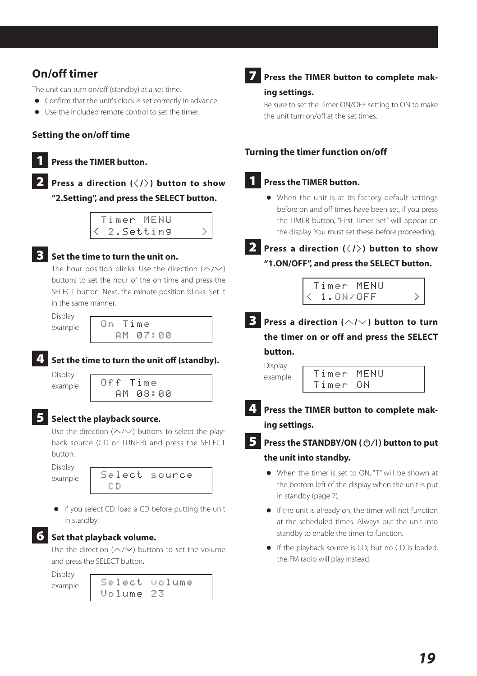### **On/off timer**

The unit can turn on/off (standby) at a set time.

- o Confirm that the unit's clock is set correctly in advance.
- o Use the included remote control to set the timer.

#### **Setting the on/off time**

### **Press the TIMER button.**

### 2 **Press a direction (**l**/**;**) button to show "2.Setting", and press the SELECT button.**

|  |  |  |  | Timer MENU |  |  |  |
|--|--|--|--|------------|--|--|--|
|  |  |  |  | 2.Setting  |  |  |  |

### 3 **Set the time to turn the unit on.**

The hour position blinks. Use the direction  $(\wedge/\vee)$ buttons to set the hour of the on time and press the SELECT button. Next, the minute position blinks. Set it in the same manner.

Display

#### example On Time AM 07:00



### 4 **Set the time to turn the unit off (standby).**

Display

### $\epsilon$ <sub>example</sub> Off Time AM 08:00

### 5 **Select the playback source.**

Use the direction ( $\land$ / $\lor$ ) buttons to select the playback source (CD or TUNER) and press the SELECT button.

Display example

| Select source |  |  |  |  |  |  |  |
|---------------|--|--|--|--|--|--|--|
| -CD.          |  |  |  |  |  |  |  |

o If you select CD, load a CD before putting the unit in standby.



#### 6 **Set that playback volume.**

Use the direction ( $\land$ / $\lor$ ) buttons to set the volume and press the SELECT button.

Display



## 7 **Press the TIMER button to complete mak-**

### **ing settings.**

Be sure to set the Timer ON/OFF setting to ON to make the unit turn on/off at the set times.

### **Turning the timer function on/off**

### **1** Press the TIMER button.

o When the unit is at its factory default settings before on and off times have been set, if you press the TIMER button, "First Timer Set" will appear on the display. You must set these before proceeding.



### **2** Press a direction ( $\langle$ / $\rangle$ ) button to show **"1.ON/OFF", and press the SELECT button.**



**3** Press a direction ( $\land$ / $\lor$ ) button to turn **the timer on or off and press the SELECT button.**

Display  $\frac{1}{2}$ <sub>example</sub> Timer MENU Timer ON

4 **Press the TIMER button to complete mak-**

**ing settings.**

- **Press the STANDBY/ON (** $\circ$ **/)** button to put **the unit into standby.**
	- o When the timer is set to ON, "T" will be shown at the bottom left of the display when the unit is put in standby (page 7).
	- o If the unit is already on, the timer will not function at the scheduled times. Always put the unit into standby to enable the timer to function.
	- o If the playback source is CD, but no CD is loaded, the FM radio will play instead.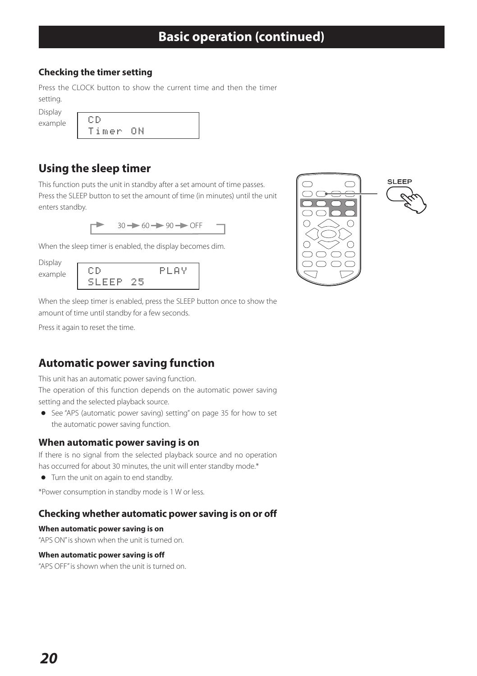### **Checking the timer setting**

Press the CLOCK button to show the current time and then the timer setting.

| Display |       |    |
|---------|-------|----|
|         | СĐ    |    |
| example |       |    |
|         | Timer | nы |
|         |       |    |

### **Using the sleep timer**

This function puts the unit in standby after a set amount of time passes. Press the SLEEP button to set the amount of time (in minutes) until the unit enters standby.

 $30 - 60 - 90$  OFF

When the sleep timer is enabled, the display becomes dim.

Display



When the sleep timer is enabled, press the SLEEP button once to show the amount of time until standby for a few seconds.

Press it again to reset the time.

### **Automatic power saving function**

This unit has an automatic power saving function.

The operation of this function depends on the automatic power saving setting and the selected playback source.

o See "APS (automatic power saving) setting" on page 35 for how to set the automatic power saving function.

### **When automatic power saving is on**

If there is no signal from the selected playback source and no operation has occurred for about 30 minutes, the unit will enter standby mode.\*

o Turn the unit on again to end standby.

\*Power consumption in standby mode is 1 W or less.

### **Checking whether automatic power saving is on or off**

#### **When automatic power saving is on**

"APS ON" is shown when the unit is turned on.

#### **When automatic power saving is off**

"APS OFF" is shown when the unit is turned on.

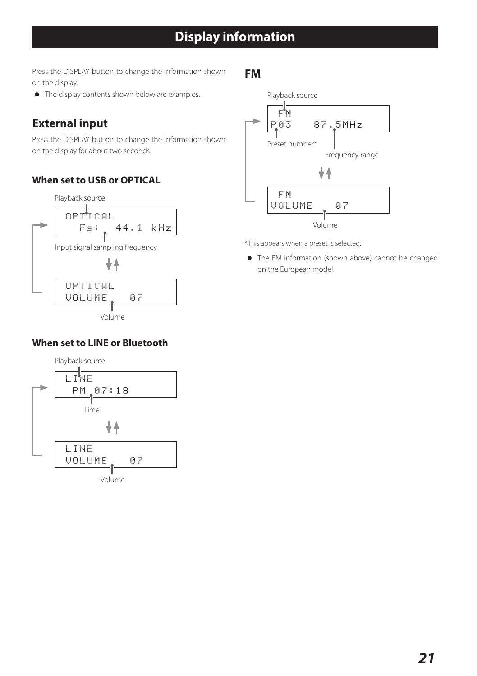## **Display information**

<span id="page-20-0"></span>Press the DISPLAY button to change the information shown on the display.

o The display contents shown below are examples.

### **External input**

Press the DISPLAY button to change the information shown on the display for about two seconds.

### **When set to USB or OPTICAL**



### **When set to LINE or Bluetooth**



### **FM**



\*This appears when a preset is selected.

o The FM information (shown above) cannot be changed on the European model.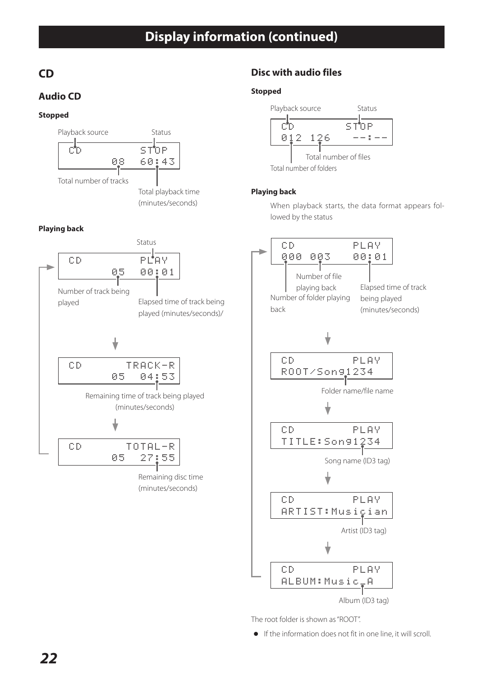## **Display information (continued)**

### **CD**

### **Audio CD**

### **Stopped**



### **Playing back**



### **Disc with audio files**

#### **Stopped**



#### **Playing back**

When playback starts, the data format appears followed by the status



The root folder is shown as "ROOT".

o If the information does not fit in one line, it will scroll.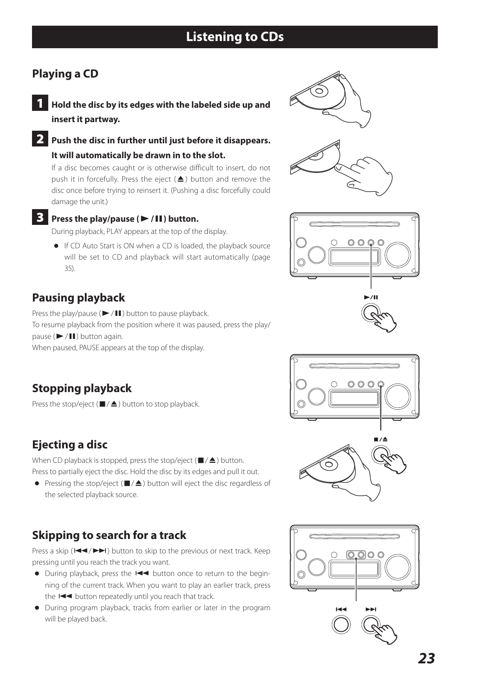### <span id="page-22-0"></span>**Playing a CD**

- 1 **Hold the disc by its edges with the labeled side up and insert it partway.**
- 2 **Push the disc in further until just before it disappears. It will automatically be drawn in to the slot.**

If a disc becomes caught or is otherwise difficult to insert, do not push it in forcefully. Press the eject  $($   $\blacktriangle)$  button and remove the disc once before trying to reinsert it. (Pushing a disc forcefully could damage the unit.)

### 3 **Press the play/pause (**7**/**9**) button.**

During playback, PLAY appears at the top of the display.

o If CD Auto Start is ON when a CD is loaded, the playback source will be set to CD and playback will start automatically (page 35).

### **Pausing playback**

Press the play/pause ( $\blacktriangleright$  /II) button to pause playback. To resume playback from the position where it was paused, press the play/ pause  $(\blacktriangleright$ / $\Pi$ ) button again. When paused, PAUSE appears at the top of the display.

### **Stopping playback**

Press the stop/eject ( $\blacksquare/\spadesuit$ ) button to stop playback.

### **Ejecting a disc**

When CD playback is stopped, press the stop/eject ( $\blacksquare/\blacktriangle$ ) button. Press to partially eject the disc. Hold the disc by its edges and pull it out.

• Pressing the stop/eject ( $\blacksquare/\blacktriangle$ ) button will eject the disc regardless of the selected playback source.

### **Skipping to search for a track**

Press a skip ( $\blacktriangleleft$  / $\blacktriangleright$ ) button to skip to the previous or next track. Keep pressing until you reach the track you want.

- During playback, press the  $\blacktriangleleft$  button once to return to the beginning of the current track. When you want to play an earlier track, press the  $I \blacktriangleleft I$  button repeatedly until you reach that track.
- o During program playback, tracks from earlier or later in the program will be played back.











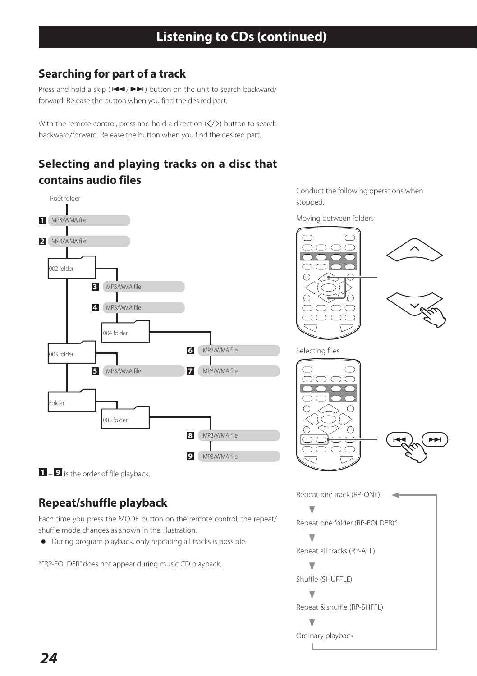### **Searching for part of a track**

Press and hold a skip ( $\blacktriangleleft$ / $\blacktriangleright$ ) button on the unit to search backward/ forward. Release the button when you find the desired part.

With the remote control, press and hold a direction  $(\langle\,\rangle)$  button to search backward/forward. Release the button when you find the desired part.

### **Selecting and playing tracks on a disc that contains audio files**



Conduct the following operations when stopped.

Moving between folders

OOOC



Ordinary playback

 $\blacksquare$  –  $\blacksquare$  is the order of file playback.

### **Repeat/shuffle playback**

Each time you press the MODE button on the remote control, the repeat/ shuffle mode changes as shown in the illustration.

o During program playback, only repeating all tracks is possible.

\*"RP-FOLDER" does not appear during music CD playback.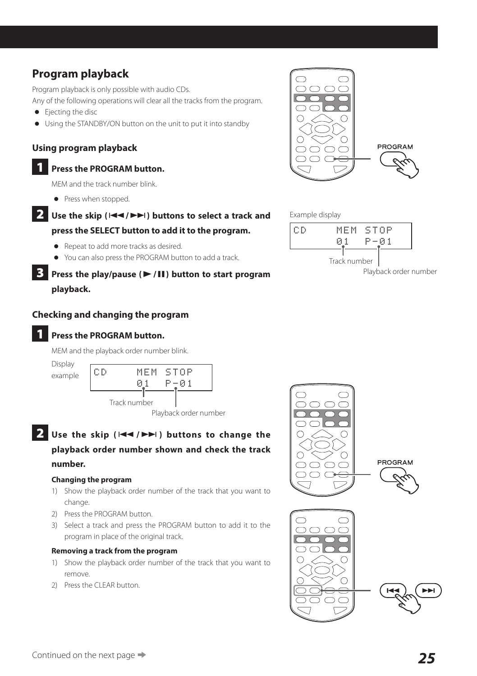### **Program playback**

Program playback is only possible with audio CDs.

Any of the following operations will clear all the tracks from the program.

- **•** Ejecting the disc
- o Using the STANDBY/ON button on the unit to put it into standby

### **Using program playback**

1 **Press the PROGRAM button.**

MEM and the track number blink.

- Press when stopped.
- **2** Use the skip ( $\left|\frac{1}{1}\right|$  **buttons to select a track and press the SELECT button to add it to the program.**
	- o Repeat to add more tracks as desired.
	- o You can also press the PROGRAM button to add a track.

### **3** Press the play/pause ( $\blacktriangleright$ /11) button to start program **playback.**

### **Checking and changing the program**

### 1 **Press the PROGRAM button.**

MEM and the playback order number blink.



### **2** Use the skip ( $|\blacktriangleleft \blacktriangleleft|$   $\rangle$ **)** buttons to change the **playback order number shown and check the track number.**

#### **Changing the program**

- 1) Show the playback order number of the track that you want to change.
- 2) Press the PROGRAM button.
- 3) Select a track and press the PROGRAM button to add it to the program in place of the original track.

#### **Removing a track from the program**

- 1) Show the playback order number of the track that you want to remove.
- 2) Press the CLEAR button.





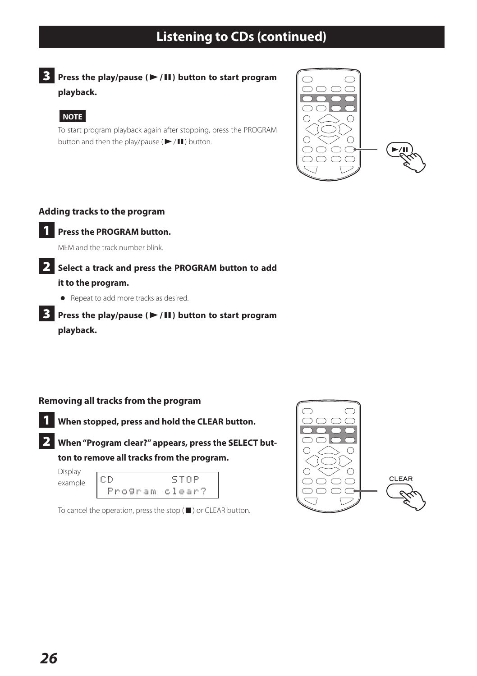## **Listening to CDs (continued)**

**3** Press the play/pause ( $\blacktriangleright$ /**II**) button to start program **playback.**

### **NOTE**

To start program playback again after stopping, press the PROGRAM button and then the play/pause ( $\blacktriangleright$  / $\Pi$ ) button.



### **Adding tracks to the program**



### **1** Press the PROGRAM button.

MEM and the track number blink.

### 2 **Select a track and press the PROGRAM button to add**

#### **it to the program.**

o Repeat to add more tracks as desired.

### **3** Press the play/pause ( $\blacktriangleright$ /**II**) button to start program **playback.**

### **Removing all tracks from the program**



2 **When "Program clear?" appears, press the SELECT button to remove all tracks from the program.**

Display



To cancel the operation, press the stop (8) or CLEAR button.

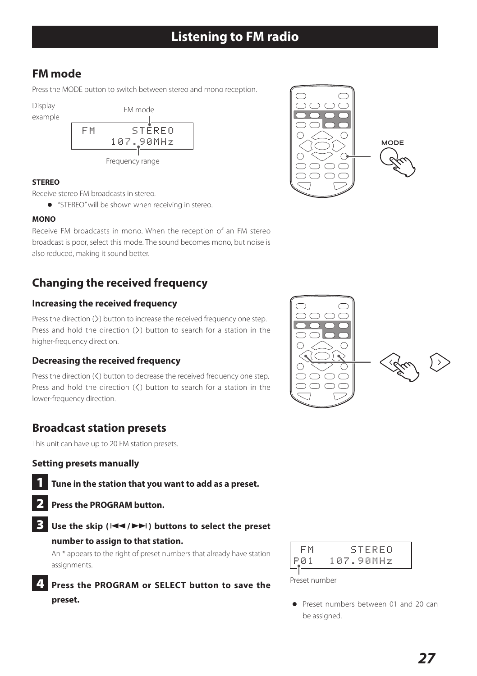## **Listening to FM radio**

### <span id="page-26-0"></span>**FM mode**

Press the MODE button to switch between stereo and mono reception.

Display

example



#### **STEREO**

Receive stereo FM broadcasts in stereo.

o "STEREO" will be shown when receiving in stereo.

### **MONO**

Receive FM broadcasts in mono. When the reception of an FM stereo broadcast is poor, select this mode. The sound becomes mono, but noise is also reduced, making it sound better.

### **Changing the received frequency**

### **Increasing the received frequency**

Press the direction () button to increase the received frequency one step. Press and hold the direction  $(\Sigma)$  button to search for a station in the higher-frequency direction.

### **Decreasing the received frequency**

Press the direction  $(\zeta)$  button to decrease the received frequency one step. Press and hold the direction  $\zeta$ ) button to search for a station in the lower-frequency direction.

### **Broadcast station presets**

This unit can have up to 20 FM station presets.

### **Setting presets manually**

- 1 **Tune in the station that you want to add as a preset.**
- 2 **Press the PROGRAM button.**

### Use the skip ( $|\blacktriangleleft \blacktriangleleft|$ ) buttons to select the preset

#### **number to assign to that station.**

An \* appears to the right of preset numbers that already have station assignments.

### 4 **Press the PROGRAM or SELECT button to save the preset.**



Preset number

o Preset numbers between 01 and 20 can be assigned.



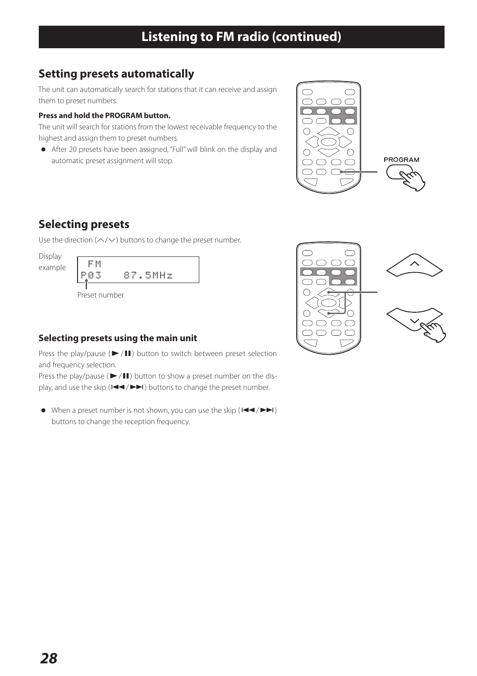### **Setting presets automatically**

The unit can automatically search for stations that it can receive and assign them to preset numbers.

### **Press and hold the PROGRAM button.**

The unit will search for stations from the lowest receivable frequency to the highest and assign them to preset numbers.

o After 20 presets have been assigned, "Full" will blink on the display and automatic preset assignment will stop.



### **Selecting presets**

Use the direction ( $\land$ / $\lor$ ) buttons to change the preset number.

Display



### **Selecting presets using the main unit**

Press the play/pause ( $\blacktriangleright$ / $\blacksquare$ ) button to switch between preset selection and frequency selection.

Press the play/pause ( $\blacktriangleright$ / $\blacksquare$ ) button to show a preset number on the display, and use the skip  $(H \triangleleft \rightarrow \blacktriangleright \blacktriangleright)$  buttons to change the preset number.

 $\bullet$  When a preset number is not shown, you can use the skip ( $\blacktriangleleft \blacktriangleleft / \blacktriangleright \blacktriangleright$ ) buttons to change the reception frequency.

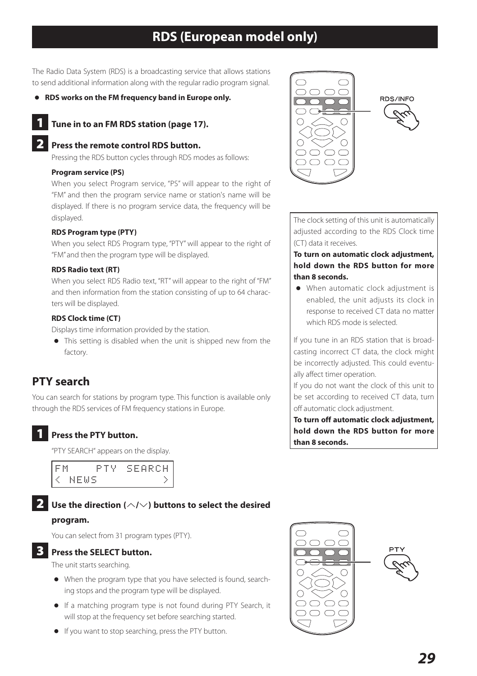### **RDS (European model only)**

<span id="page-28-0"></span>The Radio Data System (RDS) is a broadcasting service that allows stations to send additional information along with the regular radio program signal.

o **RDS works on the FM frequency band in Europe only.**

### 1 **Tune in to an FM RDS station (page 17).**

#### 2 **Press the remote control RDS button.**

Pressing the RDS button cycles through RDS modes as follows:

#### **Program service (PS)**

When you select Program service, "PS" will appear to the right of "FM" and then the program service name or station's name will be displayed. If there is no program service data, the frequency will be displayed.

#### **RDS Program type (PTY)**

When you select RDS Program type, "PTY" will appear to the right of "FM" and then the program type will be displayed.

#### **RDS Radio text (RT)**

When you select RDS Radio text, "RT" will appear to the right of "FM" and then information from the station consisting of up to 64 characters will be displayed.

#### **RDS Clock time (CT)**

Displays time information provided by the station.

o This setting is disabled when the unit is shipped new from the factory.

### **PTY search**

You can search for stations by program type. This function is available only through the RDS services of FM frequency stations in Europe.

### 1 **Press the PTY button.**

"PTY SEARCH" appears on the display.

| <b>.</b> | Ρ.   | SEARCH |
|----------|------|--------|
|          | MEMS |        |

### **2** Use the direction ( $\land$ / $\lor$ ) buttons to select the desired

#### **program.**

You can select from 31 program types (PTY).

### 3 **Press the SELECT button.**

The unit starts searching.

- o When the program type that you have selected is found, searching stops and the program type will be displayed.
- o If a matching program type is not found during PTY Search, it will stop at the frequency set before searching started.
- o If you want to stop searching, press the PTY button.



The clock setting of this unit is automatically adjusted according to the RDS Clock time (CT) data it receives.

#### **To turn on automatic clock adjustment, hold down the RDS button for more than 8 seconds.**

o When automatic clock adjustment is enabled, the unit adjusts its clock in response to received CT data no matter which RDS mode is selected.

If you tune in an RDS station that is broadcasting incorrect CT data, the clock might be incorrectly adjusted. This could eventually affect timer operation.

If you do not want the clock of this unit to be set according to received CT data, turn off automatic clock adjustment.

**To turn off automatic clock adjustment, hold down the RDS button for more than 8 seconds.**

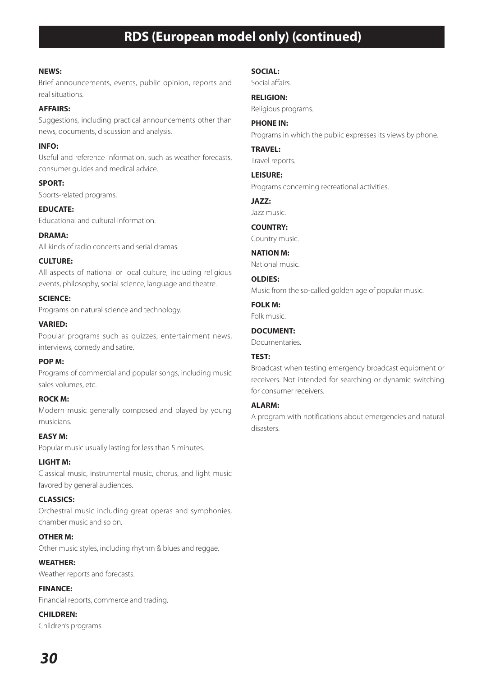### **RDS (European model only) (continued)**

#### **NEWS:**

Brief announcements, events, public opinion, reports and real situations.

#### **AFFAIRS:**

Suggestions, including practical announcements other than news, documents, discussion and analysis.

**INFO:** Useful and reference information, such as weather forecasts, consumer guides and medical advice.

**SPORT:** Sports-related programs.

**EDUCATE:** Educational and cultural information.

**DRAMA:** All kinds of radio concerts and serial dramas.

#### **CULTURE:**

All aspects of national or local culture, including religious events, philosophy, social science, language and theatre.

**SCIENCE:** Programs on natural science and technology.

**VARIED:** Popular programs such as quizzes, entertainment news, interviews, comedy and satire.

#### **POP M:**

Programs of commercial and popular songs, including music sales volumes, etc.

**ROCK M:** Modern music generally composed and played by young

musicians. **EASY M:**

Popular music usually lasting for less than 5 minutes.

#### **LIGHT M:**

Classical music, instrumental music, chorus, and light music favored by general audiences.

#### **CLASSICS:**

Orchestral music including great operas and symphonies, chamber music and so on.

#### **OTHER M:**

Other music styles, including rhythm & blues and reggae.

**WEATHER:** Weather reports and forecasts.

**FINANCE:**

Financial reports, commerce and trading.

**CHILDREN:** Children's programs.

#### **SOCIAL:**

Social affairs.

**RELIGION:** Religious programs.

**PHONE IN:** Programs in which the public expresses its views by phone.

**TRAVEL:** Travel reports.

**LEISURE:** Programs concerning recreational activities.

**JAZZ:**

Jazz music.

**COUNTRY:** Country music.

**NATION M:** National music.

**OLDIES:**

Music from the so-called golden age of popular music.

#### **FOLK M:**

Folk music.

#### **DOCUMENT:**

Documentaries.

### **TEST:**

Broadcast when testing emergency broadcast equipment or receivers. Not intended for searching or dynamic switching for consumer receivers.

#### **ALARM:**

A program with notifications about emergencies and natural disasters.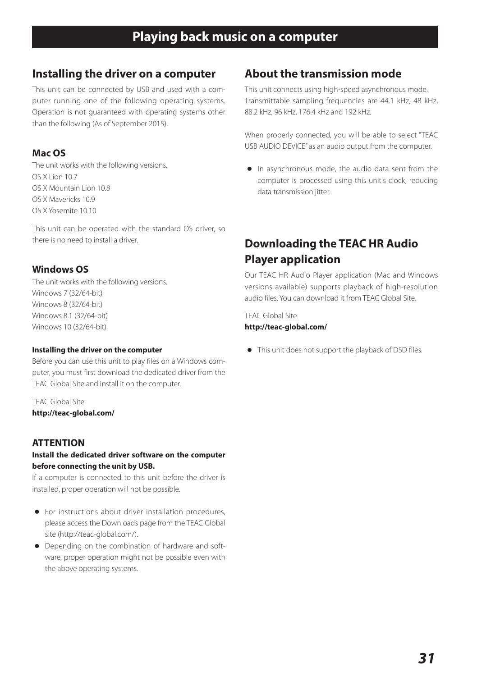### <span id="page-30-0"></span>**Installing the driver on a computer**

This unit can be connected by USB and used with a computer running one of the following operating systems. Operation is not guaranteed with operating systems other than the following (As of September 2015).

### **Mac OS**

The unit works with the following versions. OS X Lion 10.7 OS X Mountain Lion 10.8 OS X Mavericks 10.9 OS X Yosemite 10.10

This unit can be operated with the standard OS driver, so there is no need to install a driver.

### **Windows OS**

The unit works with the following versions. Windows 7 (32/64-bit) Windows 8 (32/64-bit) Windows 8.1 (32/64-bit) Windows 10 (32/64-bit)

#### **Installing the driver on the computer**

Before you can use this unit to play files on a Windows computer, you must first download the dedicated driver from the TEAC Global Site and install it on the computer.

TEAC Global Site **http://teac-global.com/**

### **ATTENTION**

### **Install the dedicated driver software on the computer before connecting the unit by USB.**

If a computer is connected to this unit before the driver is installed, proper operation will not be possible.

- o For instructions about driver installation procedures, please access the Downloads page from the TEAC Global site (http://teac-global.com/).
- o Depending on the combination of hardware and software, proper operation might not be possible even with the above operating systems.

### **About the transmission mode**

This unit connects using high-speed asynchronous mode. Transmittable sampling frequencies are 44.1 kHz, 48 kHz, 88.2 kHz, 96 kHz, 176.4 kHz and 192 kHz.

When properly connected, you will be able to select "TEAC USB AUDIO DEVICE" as an audio output from the computer.

o In asynchronous mode, the audio data sent from the computer is processed using this unit's clock, reducing data transmission jitter.

### **Downloading the TEAC HR Audio Player application**

Our TEAC HR Audio Player application (Mac and Windows versions available) supports playback of high-resolution audio files. You can download it from TEAC Global Site.

TEAC Global Site **http://teac-global.com/**

o This unit does not support the playback of DSD files.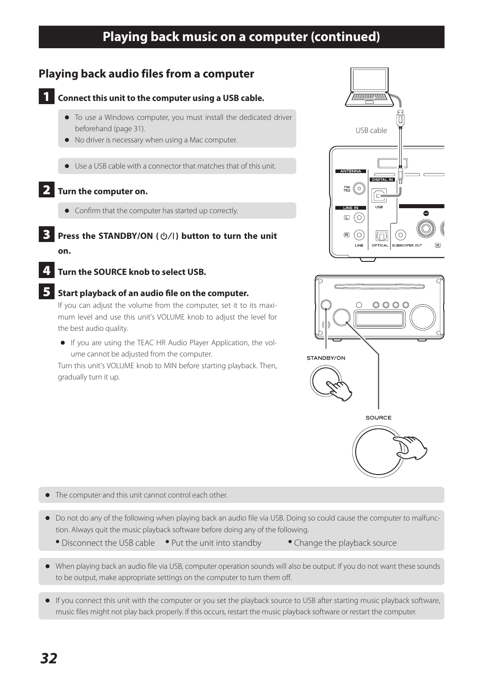### **Playing back music on a computer (continued)**

### **Playing back audio files from a computer**



### **1** Connect this unit to the computer using a USB cable.

- o To use a Windows computer, you must install the dedicated driver beforehand (page 31).
- o No driver is necessary when using a Mac computer.
- o Use a USB cable with a connector that matches that of this unit.

### 2 **Turn the computer on.**

- o Confirm that the computer has started up correctly.
- **Press the STANDBY/ON (** $\diamond$ /|) button to turn the unit **on.**
- 4 **Turn the SOURCE knob to select USB.**

### 5 **Start playback of an audio file on the computer.**

If you can adjust the volume from the computer, set it to its maximum level and use this unit's VOLUME knob to adjust the level for the best audio quality.

o If you are using the TEAC HR Audio Player Application, the volume cannot be adjusted from the computer.

Turn this unit's VOLUME knob to MIN before starting playback. Then, gradually turn it up.





- $\bullet$  The computer and this unit cannot control each other.
- o Do not do any of the following when playing back an audio file via USB. Doing so could cause the computer to malfunction. Always quit the music playback software before doing any of the following.
	- Disconnect the USB cable Put the unit into standby Change the playback source
- 
- o When playing back an audio file via USB, computer operation sounds will also be output. If you do not want these sounds to be output, make appropriate settings on the computer to turn them off.
- o If you connect this unit with the computer or you set the playback source to USB after starting music playback software, music files might not play back properly. If this occurs, restart the music playback software or restart the computer.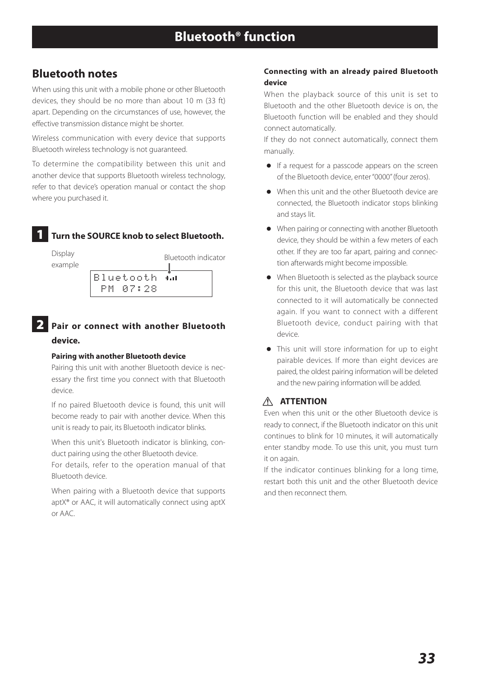### <span id="page-32-0"></span>**Bluetooth notes**

When using this unit with a mobile phone or other Bluetooth devices, they should be no more than about 10 m (33 ft) apart. Depending on the circumstances of use, however, the effective transmission distance might be shorter.

Wireless communication with every device that supports Bluetooth wireless technology is not guaranteed.

To determine the compatibility between this unit and another device that supports Bluetooth wireless technology, refer to that device's operation manual or contact the shop where you purchased it.

### 1 **Turn the SOURCE knob to select Bluetooth.**



### 2 **Pair or connect with another Bluetooth device.**

#### **Pairing with another Bluetooth device**

Pairing this unit with another Bluetooth device is necessary the first time you connect with that Bluetooth device.

If no paired Bluetooth device is found, this unit will become ready to pair with another device. When this unit is ready to pair, its Bluetooth indicator blinks.

When this unit's Bluetooth indicator is blinking, conduct pairing using the other Bluetooth device.

For details, refer to the operation manual of that Bluetooth device.

When pairing with a Bluetooth device that supports aptX® or AAC, it will automatically connect using aptX or AAC.

#### **Connecting with an already paired Bluetooth device**

When the playback source of this unit is set to Bluetooth and the other Bluetooth device is on, the Bluetooth function will be enabled and they should connect automatically.

If they do not connect automatically, connect them manually.

- o If a request for a passcode appears on the screen of the Bluetooth device, enter "0000" (four zeros).
- o When this unit and the other Bluetooth device are connected, the Bluetooth indicator stops blinking and stays lit.
- o When pairing or connecting with another Bluetooth device, they should be within a few meters of each other. If they are too far apart, pairing and connection afterwards might become impossible.
- o When Bluetooth is selected as the playback source for this unit, the Bluetooth device that was last connected to it will automatically be connected again. If you want to connect with a different Bluetooth device, conduct pairing with that device.
- o This unit will store information for up to eight pairable devices. If more than eight devices are paired, the oldest pairing information will be deleted and the new pairing information will be added.

### $\wedge$  **ATTENTION**

Even when this unit or the other Bluetooth device is ready to connect, if the Bluetooth indicator on this unit continues to blink for 10 minutes, it will automatically enter standby mode. To use this unit, you must turn it on again.

If the indicator continues blinking for a long time, restart both this unit and the other Bluetooth device and then reconnect them.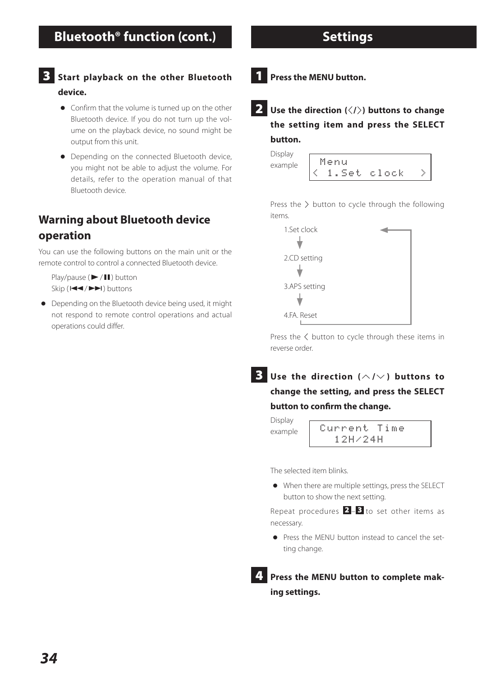### <span id="page-33-0"></span>3 **Start playback on the other Bluetooth device.**

- o Confirm that the volume is turned up on the other Bluetooth device. If you do not turn up the volume on the playback device, no sound might be output from this unit.
- o Depending on the connected Bluetooth device, you might not be able to adjust the volume. For details, refer to the operation manual of that Bluetooth device.

### **Warning about Bluetooth device**

### **operation**

You can use the following buttons on the main unit or the remote control to control a connected Bluetooth device.

Play/pause ( $\blacktriangleright$  /III) button  $\sin(\mathbf{H} \cdot \mathbf{A})$  buttons

o Depending on the Bluetooth device being used, it might not respond to remote control operations and actual operations could differ.

1 **Press the MENU button.**

**2** Use the direction ( $\langle$ / $\rangle$ ) buttons to change **the setting item and press the SELECT button.**

| Display |           |  |
|---------|-----------|--|
| example | Menu      |  |
|         | Set clock |  |

Press the  $\geq$  button to cycle through the following items.

| 1.Set clock   |  |
|---------------|--|
| 2.CD setting  |  |
|               |  |
| 3.APS setting |  |
|               |  |
| 4.FA. Reset   |  |

Press the  $\zeta$  button to cycle through these items in reverse order.

 $3$  Use the direction ( $\land$ / $\lor$ ) buttons to **change the setting, and press the SELECT button to confirm the change.**

Display

example Current Time 12H/24H

The selected item blinks.

o When there are multiple settings, press the SELECT button to show the next setting.

Repeat procedures  $2 - 3$  to set other items as necessary.

o Press the MENU button instead to cancel the setting change.

4 **Press the MENU button to complete making settings.**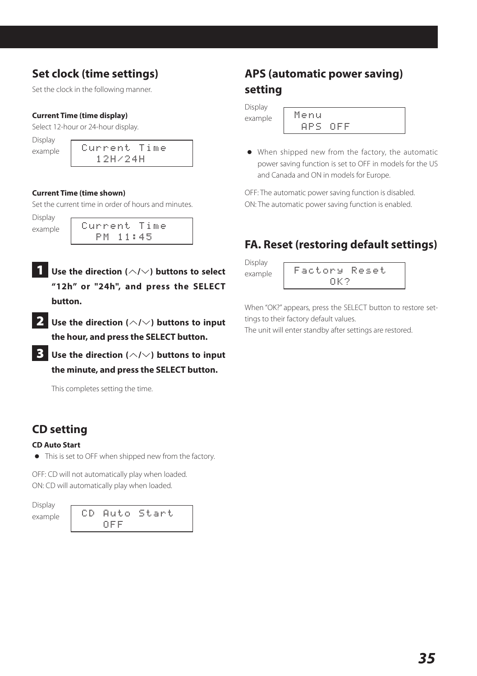### **Set clock (time settings)**

Set the clock in the following manner.

#### **Current Time (time display)**

Select 12-hour or 24-hour display.

Display

example Current Time 12H/24H

#### **Current Time (time shown)**

Set the current time in order of hours and minutes.

Display

| Luspiay<br>example | Current Time |  |  |
|--------------------|--------------|--|--|
|                    | PM 11:45     |  |  |

- **1** Use the direction ( $\land$ / $\lor$ ) buttons to select **"12h" or "24h", and press the SELECT button.**
- **2** Use the direction ( $\wedge$ / $\vee$ ) buttons to input **the hour, and press the SELECT button.**
- 3 **Use the direction (**k**/**j**) buttons to input the minute, and press the SELECT button.**

This completes setting the time.

### **CD setting**

#### **CD Auto Start**

o This is set to OFF when shipped new from the factory.

OFF: CD will not automatically play when loaded. ON: CD will automatically play when loaded.

Display

example | CD Auto Start OFF

## **APS (automatic power saving) setting**

Display example

| Menu |      |     |  |  |  |
|------|------|-----|--|--|--|
|      | ops. | NEE |  |  |  |

o When shipped new from the factory, the automatic power saving function is set to OFF in models for the US and Canada and ON in models for Europe.

OFF: The automatic power saving function is disabled. ON: The automatic power saving function is enabled.

### **FA. Reset (restoring default settings)**

Display example

|  |  |  | Factory Reset |  |  |  |  |
|--|--|--|---------------|--|--|--|--|
|  |  |  | пк 2.         |  |  |  |  |

When "OK?" appears, press the SELECT button to restore settings to their factory default values.

The unit will enter standby after settings are restored.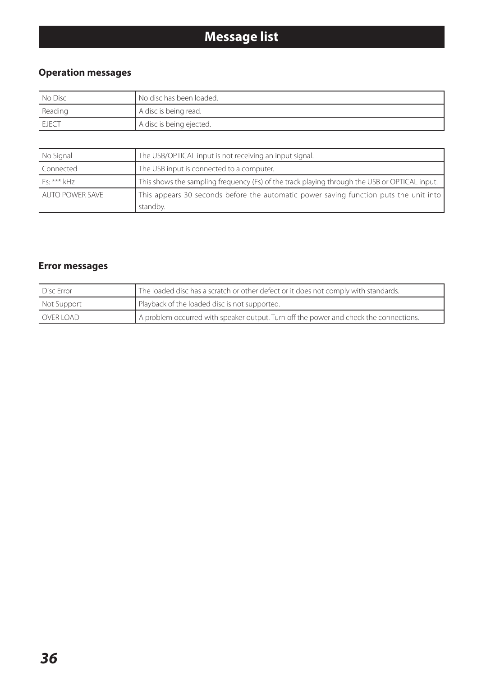## **Message list**

### <span id="page-35-0"></span>**Operation messages**

| l No Disc | No disc has been loaded. |
|-----------|--------------------------|
| Reading   | A disc is being read.    |
| EJECT     | A disc is being ejected. |

| No Signal       | The USB/OPTICAL input is not receiving an input signal.                                           |
|-----------------|---------------------------------------------------------------------------------------------------|
| Connected       | The USB input is connected to a computer.                                                         |
| $Fs:***kHz$     | This shows the sampling frequency (Fs) of the track playing through the USB or OPTICAL input.     |
| AUTO POWER SAVE | This appears 30 seconds before the automatic power saving function puts the unit into<br>standby. |

### **Error messages**

| Disc Error  | The loaded disc has a scratch or other defect or it does not comply with standards.   |
|-------------|---------------------------------------------------------------------------------------|
| Not Support | Playback of the loaded disc is not supported.                                         |
| OVER LOAD   | A problem occurred with speaker output. Turn off the power and check the connections. |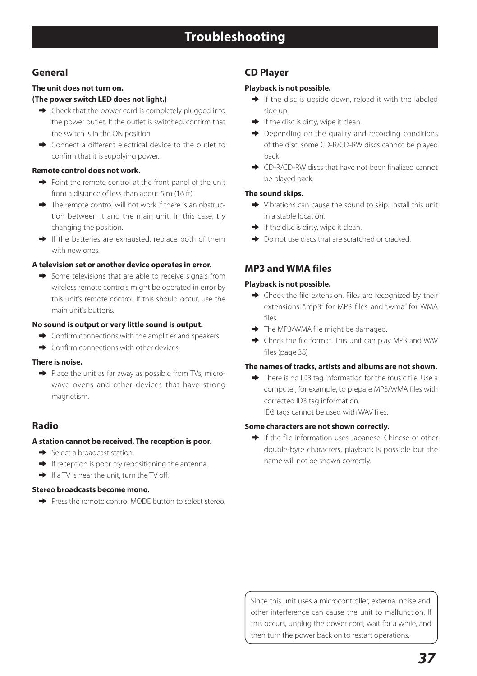### <span id="page-36-0"></span>**General**

### **The unit does not turn on.**

### **(The power switch LED does not light.)**

- $\rightarrow$  Check that the power cord is completely plugged into the power outlet. If the outlet is switched, confirm that the switch is in the ON position.
- $\rightarrow$  Connect a different electrical device to the outlet to confirm that it is supplying power.

#### **Remote control does not work.**

- $\rightarrow$  Point the remote control at the front panel of the unit from a distance of less than about 5 m (16 ft).
- $\rightarrow$  The remote control will not work if there is an obstruction between it and the main unit. In this case, try changing the position.
- $\rightarrow$  If the batteries are exhausted, replace both of them with new ones.

#### **A television set or another device operates in error.**

 $\rightarrow$  Some televisions that are able to receive signals from wireless remote controls might be operated in error by this unit's remote control. If this should occur, use the main unit's buttons.

#### **No sound is output or very little sound is output.**

- $\rightarrow$  Confirm connections with the amplifier and speakers.
- $\rightarrow$  Confirm connections with other devices.

#### **There is noise.**

 $\rightarrow$  Place the unit as far away as possible from TVs, microwave ovens and other devices that have strong magnetism.

### **Radio**

### **A station cannot be received. The reception is poor.**

- $\rightarrow$  Select a broadcast station.
- $\rightarrow$  If reception is poor, try repositioning the antenna.
- $\rightarrow$  If a TV is near the unit, turn the TV off.

### **Stereo broadcasts become mono.**

e Press the remote control MODE button to select stereo.

### **CD Player**

### **Playback is not possible.**

- $\rightarrow$  If the disc is upside down, reload it with the labeled side up.
- $\rightarrow$  If the disc is dirty, wipe it clean.
- $\rightarrow$  Depending on the quality and recording conditions of the disc, some CD-R/CD-RW discs cannot be played back.
- → CD-R/CD-RW discs that have not been finalized cannot be played back.

### **The sound skips.**

- $\rightarrow$  Vibrations can cause the sound to skip. Install this unit in a stable location.
- $\rightarrow$  If the disc is dirty, wipe it clean.
- $\rightarrow$  Do not use discs that are scratched or cracked.

### **MP3 and WMA files**

### **Playback is not possible.**

- $\rightarrow$  Check the file extension. Files are recognized by their extensions: "mp3" for MP3 files and "wma" for WMA files.
- $\rightarrow$  The MP3/WMA file might be damaged.
- $\rightarrow$  Check the file format. This unit can play MP3 and WAV files (page 38)

### **The names of tracks, artists and albums are not shown.**

 $\rightarrow$  There is no ID3 tag information for the music file. Use a computer, for example, to prepare MP3/WMA files with corrected ID3 tag information. ID3 tags cannot be used with WAV files.

### **Some characters are not shown correctly.**

 $\rightarrow$  If the file information uses Japanese, Chinese or other double-byte characters, playback is possible but the name will not be shown correctly.

Since this unit uses a microcontroller, external noise and other interference can cause the unit to malfunction. If this occurs, unplug the power cord, wait for a while, and then turn the power back on to restart operations.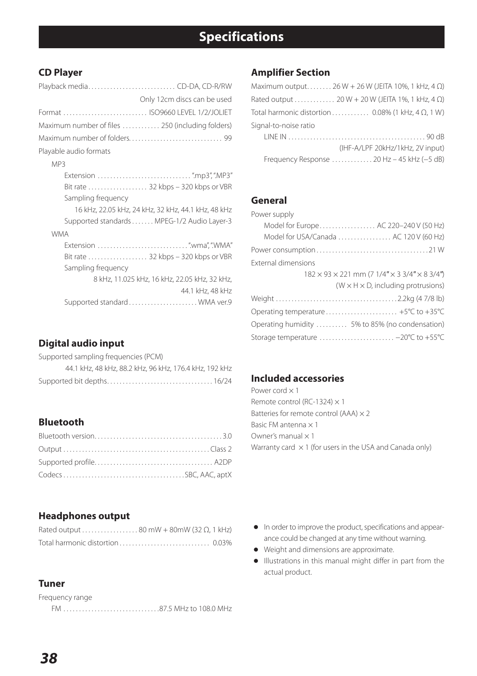### <span id="page-37-0"></span>**CD Player**

|                                                  | Only 12cm discs can be used                                       |
|--------------------------------------------------|-------------------------------------------------------------------|
| Format  ISO9660 LEVEL 1/2/JOLIET                 |                                                                   |
| Maximum number of files  250 (including folders) |                                                                   |
|                                                  |                                                                   |
| Playable audio formats                           |                                                                   |
| MP3                                              |                                                                   |
|                                                  | Bit rate  32 kbps - 320 kbps or VBR                               |
| Sampling frequency                               |                                                                   |
|                                                  | 16 kHz, 22.05 kHz, 24 kHz, 32 kHz, 44.1 kHz, 48 kHz               |
|                                                  | Supported standards MPEG-1/2 Audio Layer-3                        |
| <b>WMA</b>                                       |                                                                   |
|                                                  |                                                                   |
|                                                  | Bit rate  32 kbps - 320 kbps or VBR                               |
| Sampling frequency                               |                                                                   |
|                                                  | 8 kHz, 11.025 kHz, 16 kHz, 22.05 kHz, 32 kHz,<br>44.1 kHz, 48 kHz |
|                                                  |                                                                   |

### **Digital audio input**

|  |  | Supported sampling frequencies (PCM) |  |
|--|--|--------------------------------------|--|
|--|--|--------------------------------------|--|

|  |  | 44.1 kHz, 48 kHz, 88.2 kHz, 96 kHz, 176.4 kHz, 192 kHz |
|--|--|--------------------------------------------------------|
|  |  |                                                        |

### **Bluetooth**

### **Amplifier Section**

|                       | Maximum output 26 W + 26 W (JEITA 10%, 1 kHz, 4 $\Omega$ )              |
|-----------------------|-------------------------------------------------------------------------|
|                       | Rated output  20 W + 20 W (JEITA 1%, 1 kHz, 4 $\Omega$ )                |
|                       | Total harmonic distortion  0.08% (1 kHz, 4 $\Omega$ , 1 W)              |
| Signal-to-noise ratio |                                                                         |
|                       |                                                                         |
|                       | (IHF-A/LPF 20kHz/1kHz, 2V input)                                        |
|                       | Frequency Response $\ldots \ldots \ldots \ldots 20$ Hz - 45 kHz (-5 dB) |

### **General**

| Power supply                                                              |
|---------------------------------------------------------------------------|
| Model for Europe AC 220-240 V (50 Hz)                                     |
| Model for USA/Canada  AC 120 V (60 Hz)                                    |
|                                                                           |
| <b>External dimensions</b>                                                |
| $182 \times 93 \times 221$ mm (7 $1/4$ " $\times$ 3 3/4" $\times$ 8 3/4") |
| $(W \times H \times D)$ , including protrusions)                          |
|                                                                           |
|                                                                           |
| Operating humidity  5% to 85% (no condensation)                           |
| Storage temperature  - 20°C to +55°C                                      |

### **Included accessories**

Power cord × 1 Remote control (RC-1324)  $\times$  1 Batteries for remote control (AAA)  $\times$  2 Basic FM antenna × 1 Owner's manual × 1 Warranty card  $\times$  1 (for users in the USA and Canada only)

### **Headphones output**

| Rated output  80 mW + 80mW (32 $\Omega$ , 1 kHz) |  |
|--------------------------------------------------|--|
|                                                  |  |

### **Tuner**

Frequency range

FM. . 87.5 MHz to 108.0 MHz

- o In order to improve the product, specifications and appearance could be changed at any time without warning.
- o Weight and dimensions are approximate.
- o Illustrations in this manual might differ in part from the actual product.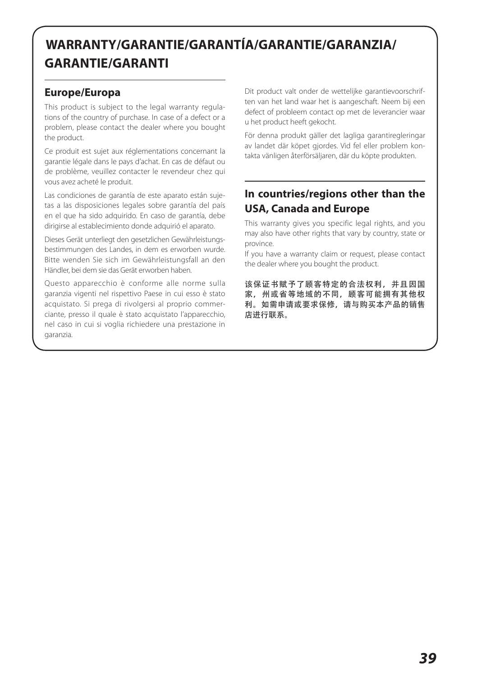## **WARRANTY/GARANTIE/GARANTÍA/GARANTIE/GARANZIA/ GARANTIE/GARANTI**

### **Europe/Europa**

This product is subject to the legal warranty regulations of the country of purchase. In case of a defect or a problem, please contact the dealer where you bought the product.

Ce produit est sujet aux réglementations concernant la garantie légale dans le pays d'achat. En cas de défaut ou de problème, veuillez contacter le revendeur chez qui vous avez acheté le produit.

Las condiciones de garantía de este aparato están sujetas a las disposiciones legales sobre garantía del país en el que ha sido adquirido. En caso de garantía, debe dirigirse al establecimiento donde adquirió el aparato.

Dieses Gerät unterliegt den gesetzlichen Gewährleistungsbestimmungen des Landes, in dem es erworben wurde. Bitte wenden Sie sich im Gewährleistungsfall an den Händler, bei dem sie das Gerät erworben haben.

Questo apparecchio è conforme alle norme sulla garanzia vigenti nel rispettivo Paese in cui esso è stato acquistato. Si prega di rivolgersi al proprio commerciante, presso il quale è stato acquistato l'apparecchio, nel caso in cui si voglia richiedere una prestazione in garanzia.

Dit product valt onder de wettelijke garantievoorschriften van het land waar het is aangeschaft. Neem bij een defect of probleem contact op met de leverancier waar u het product heeft gekocht.

För denna produkt gäller det lagliga garantiregleringar av landet där köpet gjordes. Vid fel eller problem kontakta vänligen återförsäljaren, där du köpte produkten.

### **In countries/regions other than the USA, Canada and Europe**

This warranty gives you specific legal rights, and you may also have other rights that vary by country, state or province.

If you have a warranty claim or request, please contact the dealer where you bought the product.

该保证书赋予了顾客特定的合法权利,并且因国 家,州或省等地域的不同,顾客可能拥有其他权 利。如需申请或要求保修,请与购买本产品的销售 店进行联系。